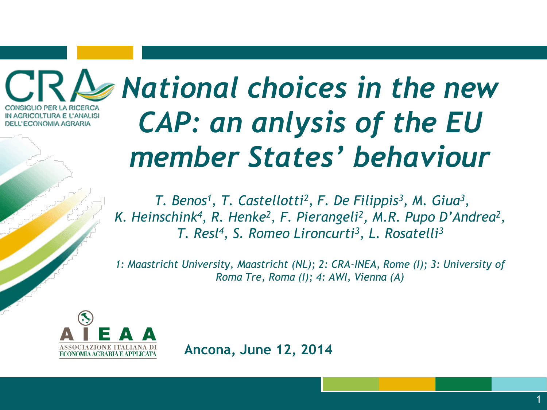GLIO PER LA RICERCA IN AGRICOLTURA E L'ANALISI DELL'ECONOMIA AGRARIA

# *National choices in the new CAP: an anlysis of the EU member States' behaviour*

*T. Benos<sup>1</sup> , T. Castellotti<sup>2</sup> , F. De Filippis<sup>3</sup> , M. Giua<sup>3</sup> ,*  K. Heinschink<sup>4</sup>, R. Henke<sup>2</sup>, F. Pierangeli<sup>2</sup>, M.R. Pupo D'Andrea<sup>2</sup>, *T. Resl<sup>4</sup> , S. Romeo Lironcurti<sup>3</sup> , L. Rosatelli<sup>3</sup>*

*1: Maastricht University, Maastricht (NL); 2: CRA-INEA, Rome (I); 3: University of Roma Tre, Roma (I); 4: AWI, Vienna (A)* 



**Ancona, June 12, 2014**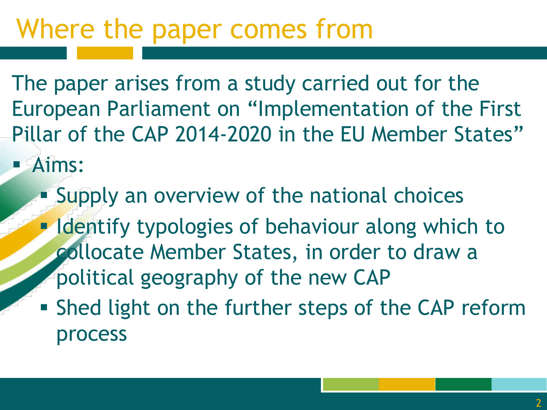### Where the paper comes from

The paper arises from a study carried out for the European Parliament on "Implementation of the First Pillar of the CAP 2014-2020 in the EU Member States"

- **Aims:** 
	- **Supply an overview of the national choices**
	- **Identify typologies of behaviour along which to** collocate Member States, in order to draw a political geography of the new CAP
	- **Shed light on the further steps of the CAP reform** process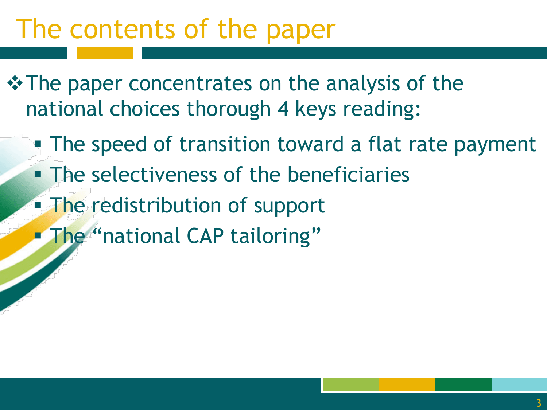### The contents of the paper

- $\triangle$  **The paper concentrates on the analysis of the** national choices thorough 4 keys reading:
	- **The speed of transition toward a flat rate payment**
	- **The selectiveness of the beneficiaries**
	- The redistribution of support
	- **Filme** "national CAP tailoring"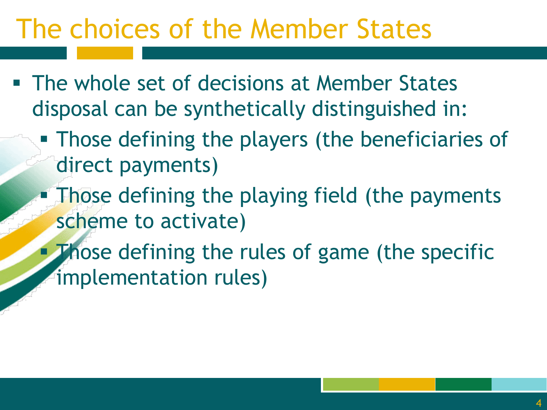### The choices of the Member States

- **The whole set of decisions at Member States** disposal can be synthetically distinguished in:
	- **Those defining the players (the beneficiaries of** direct payments)
	- Those defining the playing field (the payments scheme to activate)
	- **Those defining the rules of game (the specific** implementation rules)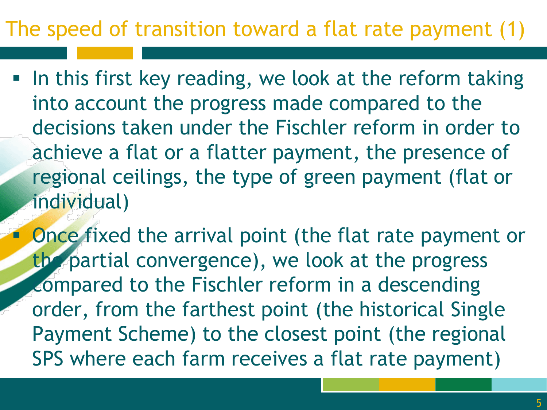#### The speed of transition toward a flat rate payment (1)

- In this first key reading, we look at the reform taking into account the progress made compared to the decisions taken under the Fischler reform in order to achieve a flat or a flatter payment, the presence of regional ceilings, the type of green payment (flat or individual)
	- Once fixed the arrival point (the flat rate payment or the partial convergence), we look at the progress compared to the Fischler reform in a descending order, from the farthest point (the historical Single Payment Scheme) to the closest point (the regional SPS where each farm receives a flat rate payment)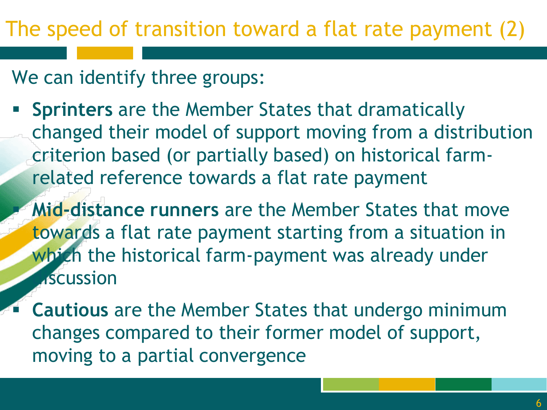We can identify three groups:

- **Sprinters** are the Member States that dramatically changed their model of support moving from a distribution criterion based (or partially based) on historical farmrelated reference towards a flat rate payment
	- **Mid-distance runners** are the Member States that move towards a flat rate payment starting from a situation in which the historical farm-payment was already under **A**scussion
- **Cautious** are the Member States that undergo minimum changes compared to their former model of support, moving to a partial convergence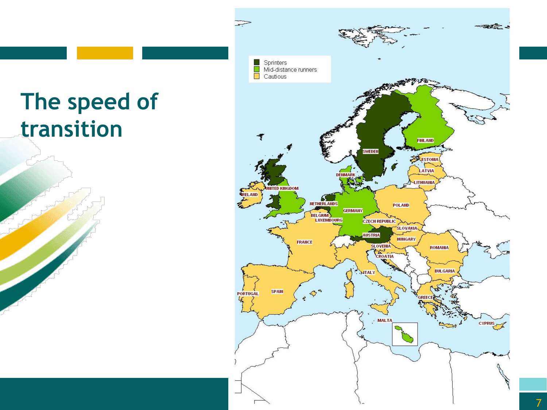### **The speed of transition**

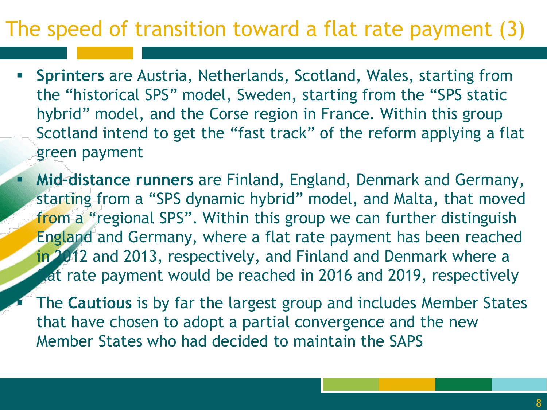#### The speed of transition toward a flat rate payment (3)

- **Sprinters** are Austria, Netherlands, Scotland, Wales, starting from the "historical SPS" model, Sweden, starting from the "SPS static hybrid" model, and the Corse region in France. Within this group Scotland intend to get the "fast track" of the reform applying a flat green payment
- **Mid-distance runners** are Finland, England, Denmark and Germany, starting from a "SPS dynamic hybrid" model, and Malta, that moved from a "regional SPS". Within this group we can further distinguish England and Germany, where a flat rate payment has been reached in 2012 and 2013, respectively, and Finland and Denmark where a at rate payment would be reached in 2016 and 2019, respectively
	- The **Cautious** is by far the largest group and includes Member States that have chosen to adopt a partial convergence and the new Member States who had decided to maintain the SAPS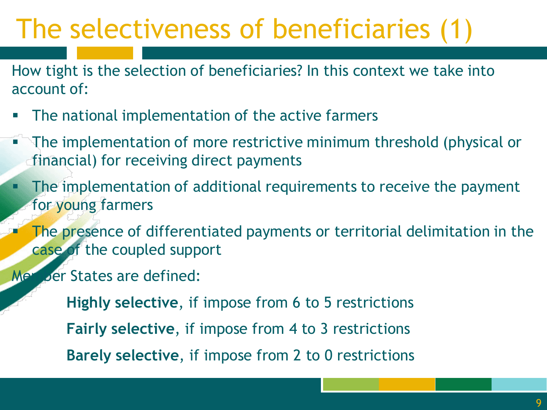### The selectiveness of beneficiaries (1)

How tight is the selection of beneficiaries? In this context we take into account of:

- **The national implementation of the active farmers**
- The implementation of more restrictive minimum threshold (physical or financial) for receiving direct payments
- **The implementation of additional requirements to receive the payment** for young farmers
	- The presence of differentiated payments or territorial delimitation in the case of the coupled support
- Member States are defined:
	- **Highly selective**, if impose from 6 to 5 restrictions **Fairly selective**, if impose from 4 to 3 restrictions **Barely selective**, if impose from 2 to 0 restrictions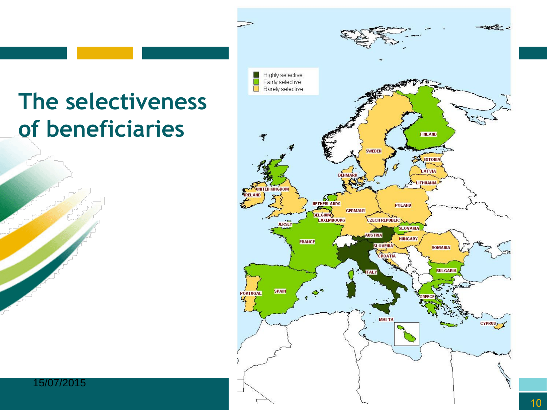### **The selectiveness of beneficiaries**



15/07/2015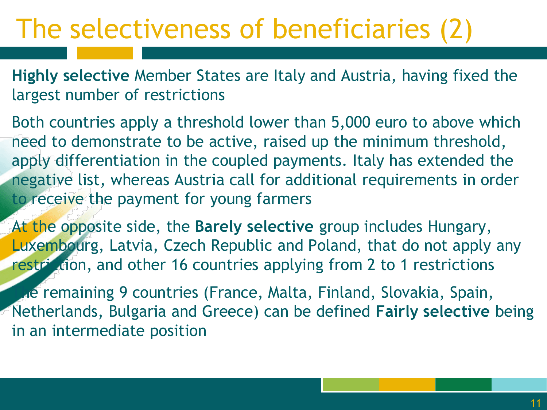### The selectiveness of beneficiaries (2)

**Highly selective** Member States are Italy and Austria, having fixed the largest number of restrictions

Both countries apply a threshold lower than 5,000 euro to above which need to demonstrate to be active, raised up the minimum threshold, apply differentiation in the coupled payments. Italy has extended the negative list, whereas Austria call for additional requirements in order to receive the payment for young farmers

At the opposite side, the **Barely selective** group includes Hungary, Luxembourg, Latvia, Czech Republic and Poland, that do not apply any restr<sup>i</sup>ction, and other 16 countries applying from 2 to 1 restrictions

The remaining 9 countries (France, Malta, Finland, Slovakia, Spain, Netherlands, Bulgaria and Greece) can be defined **Fairly selective** being in an intermediate position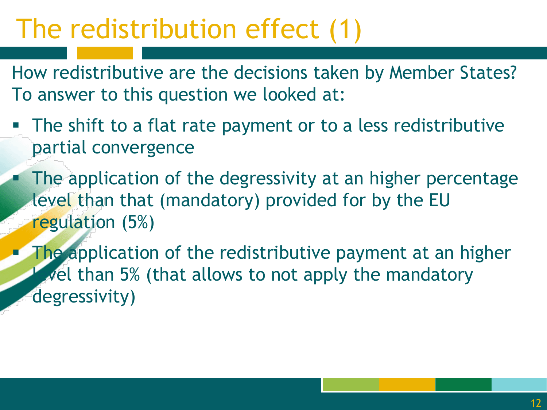### The redistribution effect (1)

How redistributive are the decisions taken by Member States? To answer to this question we looked at:

- The shift to a flat rate payment or to a less redistributive partial convergence
- **The application of the degressivity at an higher percentage** level than that (mandatory) provided for by the EU regulation (5%)

**The application of the redistributive payment at an higher**  $\blacktriangleright$  vel than 5% (that allows to not apply the mandatory degressivity)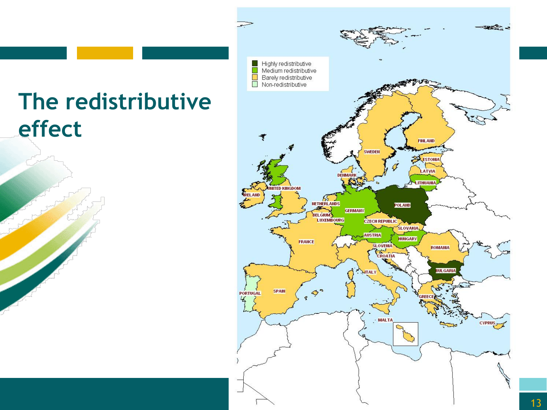#### **The redistributive effect**

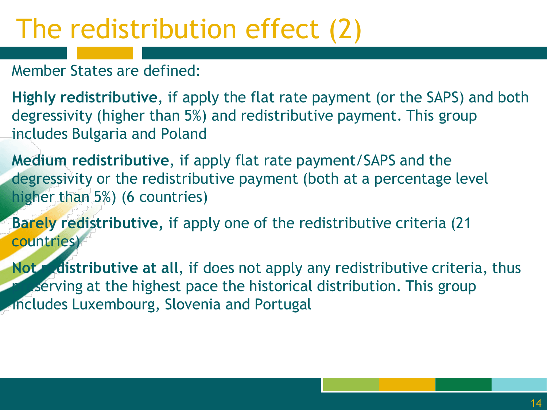### The redistribution effect (2)

Member States are defined:

**Highly redistributive**, if apply the flat rate payment (or the SAPS) and both degressivity (higher than 5%) and redistributive payment. This group includes Bulgaria and Poland

**Medium redistributive**, if apply flat rate payment/SAPS and the degressivity or the redistributive payment (both at a percentage level higher than 5%) (6 countries)

**Barely redistributive,** if apply one of the redistributive criteria (21 countries)

**Not redistributive at all, if does not apply any redistributive criteria, thus Breaking at the highest pace the historical distribution. This group** Includes Luxembourg, Slovenia and Portugal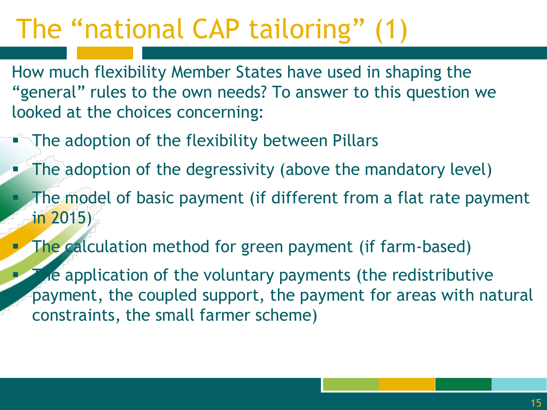### The "national CAP tailoring" (1)

How much flexibility Member States have used in shaping the "general" rules to the own needs? To answer to this question we looked at the choices concerning:

- The adoption of the flexibility between Pillars
- The adoption of the degressivity (above the mandatory level) The model of basic payment (if different from a flat rate payment in 2015)
- **The calculation method for green payment (if farm-based)**

The application of the voluntary payments (the redistributive payment, the coupled support, the payment for areas with natural constraints, the small farmer scheme)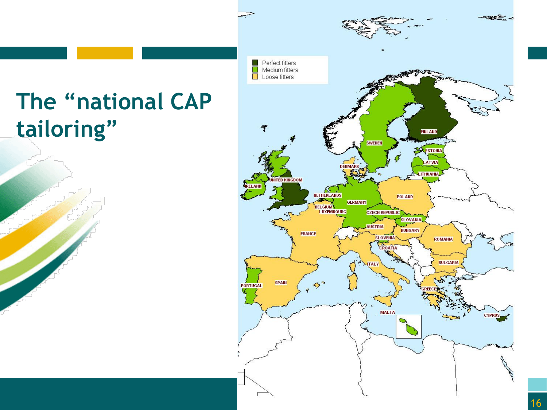### **The "national CAP tailoring"**

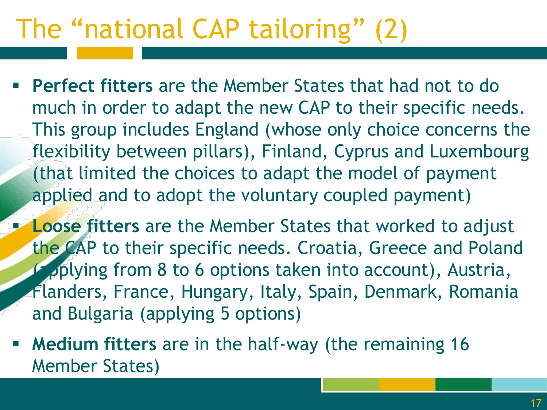## The "national CAP tailoring" (2)

- **Perfect fitters** are the Member States that had not to do much in order to adapt the new CAP to their specific needs. This group includes England (whose only choice concerns the flexibility between pillars), Finland, Cyprus and Luxembourg (that limited the choices to adapt the model of payment applied and to adopt the voluntary coupled payment)
- **Loose fitters** are the Member States that worked to adjust the CAP to their specific needs. Croatia, Greece and Poland pplying from 8 to 6 options taken into account), Austria, Flanders, France, Hungary, Italy, Spain, Denmark, Romania and Bulgaria (applying 5 options)
- **Medium fitters** are in the half-way (the remaining 16 Member States)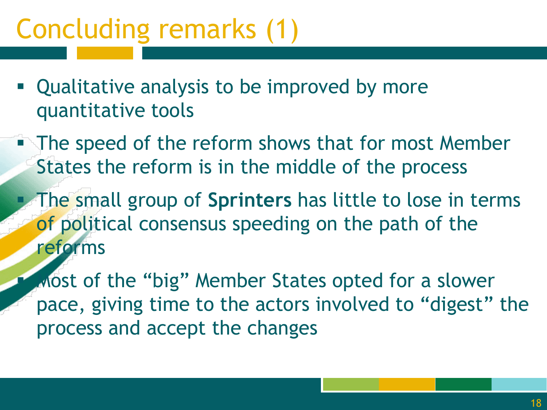## Concluding remarks (1)

- Qualitative analysis to be improved by more quantitative tools
- **The speed of the reform shows that for most Member** States the reform is in the middle of the process
	- The small group of **Sprinters** has little to lose in terms of political consensus speeding on the path of the reforms
		- Most of the "big" Member States opted for a slower pace, giving time to the actors involved to "digest" the process and accept the changes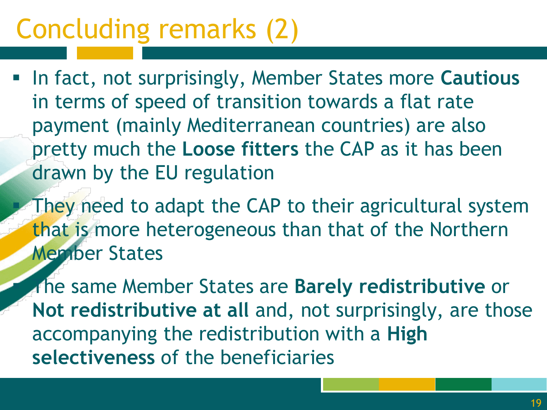## Concluding remarks (2)

- In fact, not surprisingly, Member States more **Cautious**  in terms of speed of transition towards a flat rate payment (mainly Mediterranean countries) are also pretty much the **Loose fitters** the CAP as it has been drawn by the EU regulation
	- They need to adapt the CAP to their agricultural system that is more heterogeneous than that of the Northern Member States
	- The same Member States are **Barely redistributive** or **Not redistributive at all** and, not surprisingly, are those accompanying the redistribution with a **High selectiveness** of the beneficiaries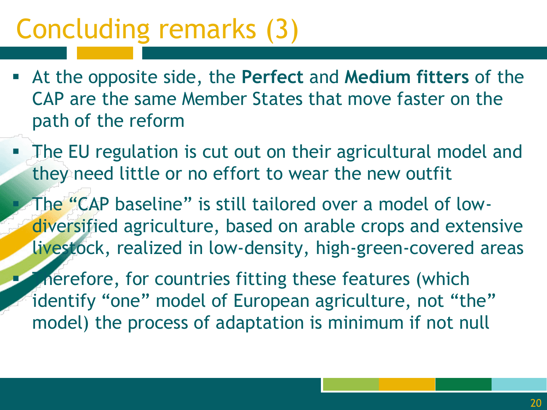### Concluding remarks (3)

- At the opposite side, the **Perfect** and **Medium fitters** of the CAP are the same Member States that move faster on the path of the reform
- **The EU regulation is cut out on their agricultural model and** they need little or no effort to wear the new outfit

 The "CAP baseline" is still tailored over a model of lowdiversified agriculture, based on arable crops and extensive livestock, realized in low-density, high-green-covered areas

Therefore, for countries fitting these features (which identify "one" model of European agriculture, not "the" model) the process of adaptation is minimum if not null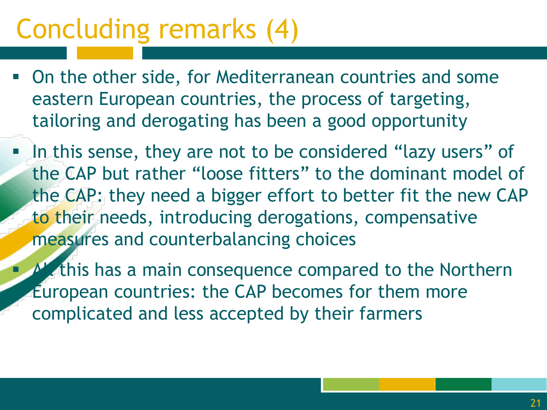### Concluding remarks (4)

- On the other side, for Mediterranean countries and some eastern European countries, the process of targeting, tailoring and derogating has been a good opportunity
- In this sense, they are not to be considered "lazy users" of the CAP but rather "loose fitters" to the dominant model of the CAP: they need a bigger effort to better fit the new CAP to their needs, introducing derogations, compensative measures and counterbalancing choices
- $\blacksquare$  All this has a main consequence compared to the Northern European countries: the CAP becomes for them more complicated and less accepted by their farmers